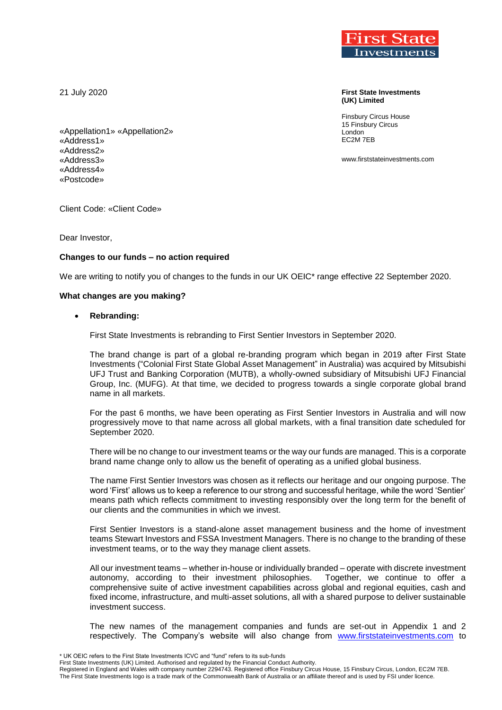21 July 2020



Client Code: «Client Code»

Dear Investor,

# **Changes to our funds – no action required**

We are writing to notify you of changes to the funds in our UK OEIC<sup>\*</sup> range effective 22 September 2020.

## **What changes are you making?**

## **Rebranding:**

First State Investments is rebranding to First Sentier Investors in September 2020.

The brand change is part of a global re-branding program which began in 2019 after First State Investments ("Colonial First State Global Asset Management" in Australia) was acquired by Mitsubishi UFJ Trust and Banking Corporation (MUTB), a wholly-owned subsidiary of Mitsubishi UFJ Financial Group, Inc. (MUFG). At that time, we decided to progress towards a single corporate global brand name in all markets.

For the past 6 months, we have been operating as First Sentier Investors in Australia and will now progressively move to that name across all global markets, with a final transition date scheduled for September 2020.

There will be no change to our investment teams or the way our funds are managed. This is a corporate brand name change only to allow us the benefit of operating as a unified global business.

The name First Sentier Investors was chosen as it reflects our heritage and our ongoing purpose. The word 'First' allows us to keep a reference to our strong and successful heritage, while the word 'Sentier' means path which reflects commitment to investing responsibly over the long term for the benefit of our clients and the communities in which we invest.

First Sentier Investors is a stand-alone asset management business and the home of investment teams Stewart Investors and FSSA Investment Managers. There is no change to the branding of these investment teams, or to the way they manage client assets.

All our investment teams – whether in-house or individually branded – operate with discrete investment autonomy, according to their investment philosophies. Together, we continue to offer a comprehensive suite of active investment capabilities across global and regional equities, cash and fixed income, infrastructure, and multi-asset solutions, all with a shared purpose to deliver sustainable investment success.

The new names of the management companies and funds are set-out in Appendix 1 and 2 respectively. The Company's website will also change from [www.firststateinvestments.com](http://www.firststateinvestments.com/) to

\* UK OEIC refers to the First State Investments ICVC and "fund" refers to its sub-funds

First State Investments (UK) Limited. Authorised and regulated by the Financial Conduct Authority. Registered in England and Wales with company number 2294743. Registered office Finsbury Circus House, 15 Finsbury Circus, London, EC2M 7EB. The First State Investments logo is a trade mark of the Commonwealth Bank of Australia or an affiliate thereof and is used by FSI under licence.



**First State Investments (UK) Limited**

Finsbury Circus House 15 Finsbury Circus London EC2M 7EB

www.firststateinvestments.com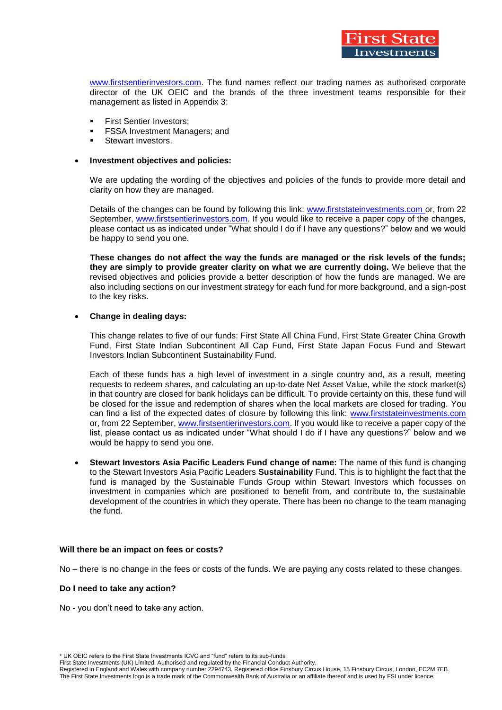

[www.firstsentierinvestors.com.](http://www.firstsentierinvestors.com/) The fund names reflect our trading names as authorised corporate director of the UK OEIC and the brands of the three investment teams responsible for their management as listed in Appendix 3:

- **First Sentier Investors;**
- FSSA Investment Managers; and
- Stewart Investors.

### **Investment objectives and policies:**

We are updating the wording of the objectives and policies of the funds to provide more detail and clarity on how they are managed.

Details of the changes can be found by following this link: [www.firststateinvestments.com](http://www.firststateinvestments.com/) or, from 22 September, [www.firstsentierinvestors.com.](http://www.firstsentierinvestors.com/) If you would like to receive a paper copy of the changes, please contact us as indicated under "What should I do if I have any questions?" below and we would be happy to send you one.

**These changes do not affect the way the funds are managed or the risk levels of the funds; they are simply to provide greater clarity on what we are currently doing.** We believe that the revised objectives and policies provide a better description of how the funds are managed. We are also including sections on our investment strategy for each fund for more background, and a sign-post to the key risks.

## **Change in dealing days:**

This change relates to five of our funds: First State All China Fund, First State Greater China Growth Fund, First State Indian Subcontinent All Cap Fund, First State Japan Focus Fund and Stewart Investors Indian Subcontinent Sustainability Fund.

Each of these funds has a high level of investment in a single country and, as a result, meeting requests to redeem shares, and calculating an up-to-date Net Asset Value, while the stock market(s) in that country are closed for bank holidays can be difficult. To provide certainty on this, these fund will be closed for the issue and redemption of shares when the local markets are closed for trading. You can find a list of the expected dates of closure by following this link: [www.firststateinvestments.com](http://www.firststateinvestments.com/) or, from 22 September, www.firstsentierinvestors.com. If you would like to receive a paper copy of the list, please contact us as indicated under "What should I do if I have any questions?" below and we would be happy to send you one.

 **Stewart Investors Asia Pacific Leaders Fund change of name:** The name of this fund is changing to the Stewart Investors Asia Pacific Leaders **Sustainability** Fund. This is to highlight the fact that the fund is managed by the Sustainable Funds Group within Stewart Investors which focusses on investment in companies which are positioned to benefit from, and contribute to, the sustainable development of the countries in which they operate. There has been no change to the team managing the fund.

## **Will there be an impact on fees or costs?**

No – there is no change in the fees or costs of the funds. We are paying any costs related to these changes.

#### **Do I need to take any action?**

No - you don't need to take any action.

First State Investments (UK) Limited. Authorised and regulated by the Financial Conduct Authority. Registered in England and Wales with company number 2294743. Registered office Finsbury Circus House, 15 Finsbury Circus, London, EC2M 7EB. The First State Investments logo is a trade mark of the Commonwealth Bank of Australia or an affiliate thereof and is used by FSI under licence.

<sup>\*</sup> UK OEIC refers to the First State Investments ICVC and "fund" refers to its sub-funds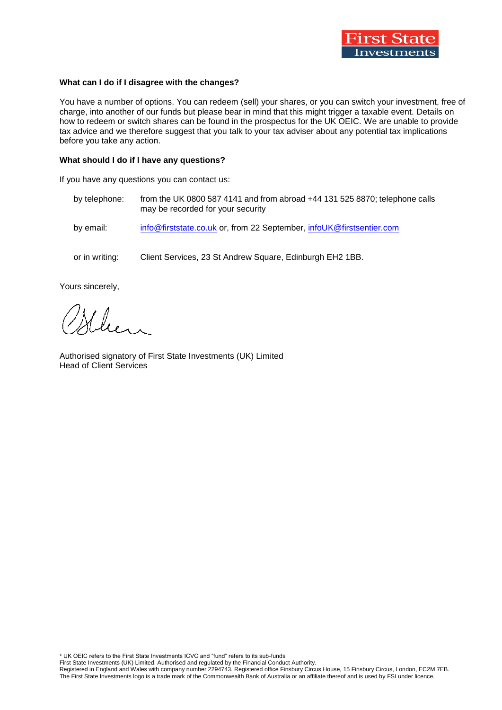

## **What can I do if I disagree with the changes?**

You have a number of options. You can redeem (sell) your shares, or you can switch your investment, free of charge, into another of our funds but please bear in mind that this might trigger a taxable event. Details on how to redeem or switch shares can be found in the prospectus for the UK OEIC. We are unable to provide tax advice and we therefore suggest that you talk to your tax adviser about any potential tax implications before you take any action.

### **What should I do if I have any questions?**

If you have any questions you can contact us:

- by telephone: from the UK 0800 587 4141 and from abroad +44 131 525 8870; telephone calls may be recorded for your security
- by email: [info@firststate.co.uk](mailto:info@firststate.co.uk) or, from 22 September, infoUK@firstsentier.com
- or in writing: Client Services, 23 St Andrew Square, Edinburgh EH2 1BB.

Yours sincerely,

lun

Authorised signatory of First State Investments (UK) Limited Head of Client Services

\* UK OEIC refers to the First State Investments ICVC and "fund" refers to its sub-funds

First State Investments (UK) Limited. Authorised and regulated by the Financial Conduct Authority. Registered in England and Wales with company number 2294743. Registered office Finsbury Circus House, 15 Finsbury Circus, London, EC2M 7EB. The First State Investments logo is a trade mark of the Commonwealth Bank of Australia or an affiliate thereof and is used by FSI under licence.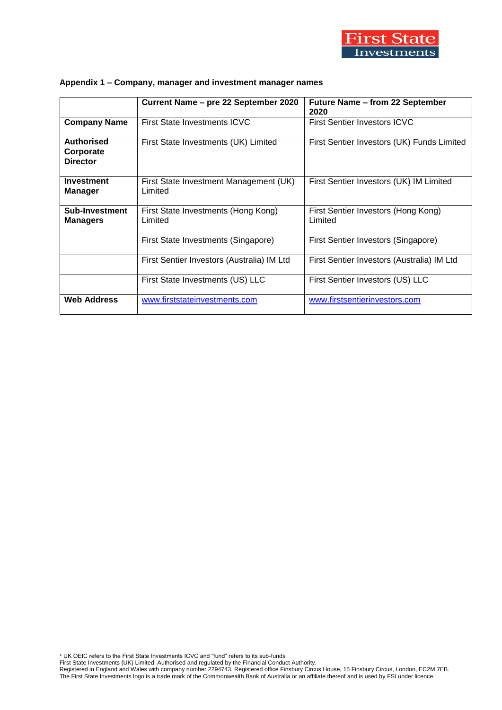

|                                                   | Current Name – pre 22 September 2020              | <b>Future Name - from 22 September</b><br>2020 |  |  |
|---------------------------------------------------|---------------------------------------------------|------------------------------------------------|--|--|
| <b>Company Name</b>                               | <b>First State Investments ICVC</b>               | <b>First Sentier Investors ICVC</b>            |  |  |
| <b>Authorised</b><br>Corporate<br><b>Director</b> | First State Investments (UK) Limited              | First Sentier Investors (UK) Funds Limited     |  |  |
| Investment<br><b>Manager</b>                      | First State Investment Management (UK)<br>Limited | First Sentier Investors (UK) IM Limited        |  |  |
| Sub-Investment<br><b>Managers</b>                 | First State Investments (Hong Kong)<br>Limited    | First Sentier Investors (Hong Kong)<br>Limited |  |  |
|                                                   | First State Investments (Singapore)               | First Sentier Investors (Singapore)            |  |  |
|                                                   | First Sentier Investors (Australia) IM Ltd        | First Sentier Investors (Australia) IM Ltd     |  |  |
|                                                   | First State Investments (US) LLC                  | First Sentier Investors (US) LLC               |  |  |
| <b>Web Address</b>                                | www.firststateinvestments.com                     | www.firstsentierinvestors.com                  |  |  |

# **Appendix 1 – Company, manager and investment manager names**

\* UK OEIC refers to the First State Investments ICVC and "fund" refers to its sub-funds First State Investments (UK) Limited. Authorised and regulated by the Financial Conduct Authority. Registered in England and Wales with company number 2294743. Registered office Finsbury Circus House, 15 Finsbury Circus, London, EC2M 7EB. The First State Investments logo is a trade mark of the Commonwealth Bank of Australia or an affiliate thereof and is used by FSI under licence.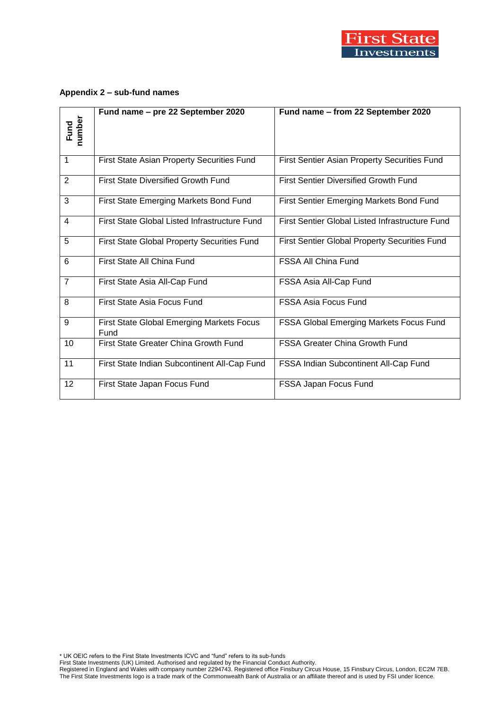

# **Appendix 2 – sub-fund names**

| Fund<br>number | Fund name - pre 22 September 2020                        | Fund name - from 22 September 2020                     |
|----------------|----------------------------------------------------------|--------------------------------------------------------|
| $\mathbf{1}$   | First State Asian Property Securities Fund               | First Sentier Asian Property Securities Fund           |
| 2              | <b>First State Diversified Growth Fund</b>               | <b>First Sentier Diversified Growth Fund</b>           |
| 3              | First State Emerging Markets Bond Fund                   | First Sentier Emerging Markets Bond Fund               |
| $\overline{4}$ | First State Global Listed Infrastructure Fund            | <b>First Sentier Global Listed Infrastructure Fund</b> |
| 5              | <b>First State Global Property Securities Fund</b>       | <b>First Sentier Global Property Securities Fund</b>   |
| 6              | First State All China Fund                               | <b>FSSA All China Fund</b>                             |
| $\overline{7}$ | First State Asia All-Cap Fund                            | FSSA Asia All-Cap Fund                                 |
| 8              | First State Asia Focus Fund                              | <b>FSSA Asia Focus Fund</b>                            |
| 9              | <b>First State Global Emerging Markets Focus</b><br>Fund | FSSA Global Emerging Markets Focus Fund                |
| 10             | First State Greater China Growth Fund                    | <b>FSSA Greater China Growth Fund</b>                  |
| 11             | First State Indian Subcontinent All-Cap Fund             | FSSA Indian Subcontinent All-Cap Fund                  |
| 12             | First State Japan Focus Fund                             | FSSA Japan Focus Fund                                  |

\* UK OEIC refers to the First State Investments ICVC and "fund" refers to its sub-funds

First State Investments (UK) Limited. Authorised and regulated by the Financial Conduct Authority. Registered in England and Wales with company number 2294743. Registered office Finsbury Circus House, 15 Finsbury Circus, London, EC2M 7EB. The First State Investments logo is a trade mark of the Commonwealth Bank of Australia or an affiliate thereof and is used by FSI under licence.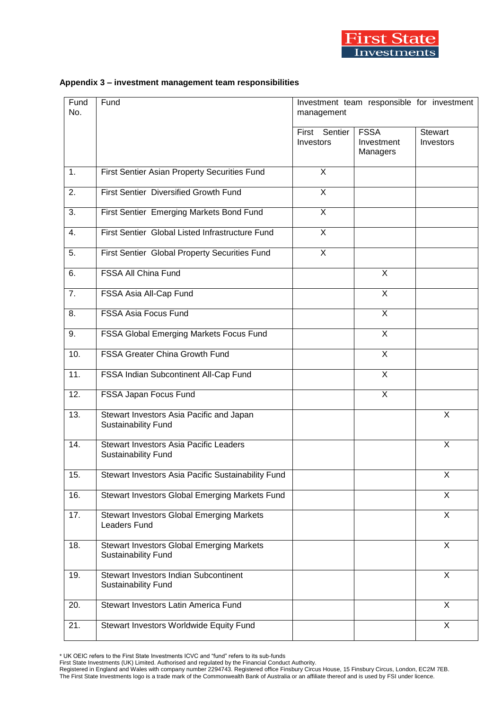

## **Appendix 3 – investment management team responsibilities**

| Fund<br>No. | Fund                                                                        | Investment team responsible for investment<br>management |                                       |                             |
|-------------|-----------------------------------------------------------------------------|----------------------------------------------------------|---------------------------------------|-----------------------------|
|             |                                                                             | First Sentier<br>Investors                               | <b>FSSA</b><br>Investment<br>Managers | <b>Stewart</b><br>Investors |
| 1.          | First Sentier Asian Property Securities Fund                                | X                                                        |                                       |                             |
| 2.          | First Sentier Diversified Growth Fund                                       | X                                                        |                                       |                             |
| 3.          | First Sentier Emerging Markets Bond Fund                                    | X                                                        |                                       |                             |
| 4.          | First Sentier Global Listed Infrastructure Fund                             | X                                                        |                                       |                             |
| 5.          | First Sentier Global Property Securities Fund                               | X                                                        |                                       |                             |
| 6.          | FSSA All China Fund                                                         |                                                          | X                                     |                             |
| 7.          | FSSA Asia All-Cap Fund                                                      |                                                          | $\overline{X}$                        |                             |
| 8.          | FSSA Asia Focus Fund                                                        |                                                          | $\overline{X}$                        |                             |
| 9.          | FSSA Global Emerging Markets Focus Fund                                     |                                                          | X                                     |                             |
| 10.         | <b>FSSA Greater China Growth Fund</b>                                       |                                                          | X                                     |                             |
| 11.         | FSSA Indian Subcontinent All-Cap Fund                                       |                                                          | $\pmb{\times}$                        |                             |
| 12.         | FSSA Japan Focus Fund                                                       |                                                          | $\pmb{\times}$                        |                             |
| 13.         | Stewart Investors Asia Pacific and Japan<br><b>Sustainability Fund</b>      |                                                          |                                       | X                           |
| 14.         | <b>Stewart Investors Asia Pacific Leaders</b><br><b>Sustainability Fund</b> |                                                          |                                       | X                           |
| 15.         | Stewart Investors Asia Pacific Sustainability Fund                          |                                                          |                                       | х                           |
| 16.         | Stewart Investors Global Emerging Markets Fund                              |                                                          |                                       | X                           |
| 17.         | <b>Stewart Investors Global Emerging Markets</b><br>Leaders Fund            |                                                          |                                       | $\mathsf{X}$                |
| 18.         | <b>Stewart Investors Global Emerging Markets</b><br>Sustainability Fund     |                                                          |                                       | X                           |
| 19.         | <b>Stewart Investors Indian Subcontinent</b><br>Sustainability Fund         |                                                          |                                       | X                           |
| 20.         | Stewart Investors Latin America Fund                                        |                                                          |                                       | $\mathsf{X}$                |
| 21.         | Stewart Investors Worldwide Equity Fund                                     |                                                          |                                       | X                           |

\* UK OEIC refers to the First State Investments ICVC and "fund" refers to its sub-funds

First State Investments (UK) Limited. Authorised and regulated by the Financial Conduct Authority.

Registered in England and Wales with company number 2294743. Registered office Finsbury Circus House, 15 Finsbury Circus, London, EC2M 7EB. The First State Investments logo is a trade mark of the Commonwealth Bank of Australia or an affiliate thereof and is used by FSI under licence.